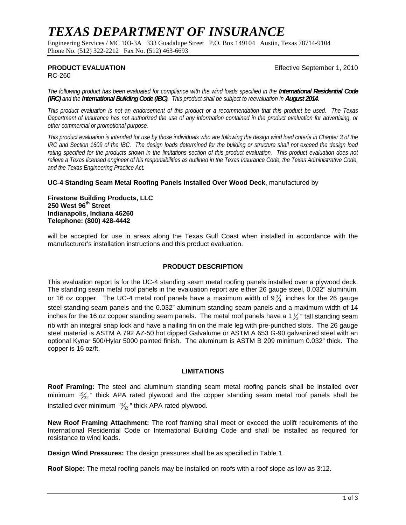# *TEXAS DEPARTMENT OF INSURANCE*

Engineering Services / MC 103-3A 333 Guadalupe Street P.O. Box 149104 Austin, Texas 78714-9104 Phone No. (512) 322-2212 Fax No. (512) 463-6693

**PRODUCT EVALUATION** *Effective September 1, 2010* 

RC-260

*The following product has been evaluated for compliance with the wind loads specified in the International Residential Code (IRC)* and the *International Building Code (IBC)*. This product shall be subject to reevaluation in August 2014.

*This product evaluation is not an endorsement of this product or a recommendation that this product be used. The Texas Department of Insurance has not authorized the use of any information contained in the product evaluation for advertising, or other commercial or promotional purpose.* 

*This product evaluation is intended for use by those individuals who are following the design wind load criteria in Chapter 3 of the IRC and Section 1609 of the IBC. The design loads determined for the building or structure shall not exceed the design load*  rating specified for the products shown in the limitations section of this product evaluation. This product evaluation does not *relieve a Texas licensed engineer of his responsibilities as outlined in the Texas Insurance Code, the Texas Administrative Code, and the Texas Engineering Practice Act.*

### **UC-4 Standing Seam Metal Roofing Panels Installed Over Wood Deck**, manufactured by

**Firestone Building Products, LLC 250 West 96th Street Indianapolis, Indiana 46260 Telephone: (800) 428-4442** 

will be accepted for use in areas along the Texas Gulf Coast when installed in accordance with the manufacturer's installation instructions and this product evaluation.

### **PRODUCT DESCRIPTION**

This evaluation report is for the UC-4 standing seam metal roofing panels installed over a plywood deck. The standing seam metal roof panels in the evaluation report are either 26 gauge steel, 0.032" aluminum, or 16 oz copper. The UC-4 metal roof panels have a maximum width of 9 $\frac{3}{4}$  inches for the 26 gauge steel standing seam panels and the 0.032" aluminum standing seam panels and a maximum width of 14 inches for the 16 oz copper standing seam panels. The metal roof panels have a 1  $\frac{1}{2}$ " tall standing seam rib with an integral snap lock and have a nailing fin on the male leg with pre-punched slots. The 26 gauge steel material is ASTM A 792 AZ-50 hot dipped Galvalume or ASTM A 653 G-90 galvanized steel with an optional Kynar 500/Hylar 5000 painted finish. The aluminum is ASTM B 209 minimum 0.032" thick. The copper is 16 oz/ft.

#### **LIMITATIONS**

**Roof Framing:** The steel and aluminum standing seam metal roofing panels shall be installed over minimum  $\frac{19}{32}$ " thick APA rated plywood and the copper standing seam metal roof panels shall be installed over minimum  $\frac{23}{32}$ " thick APA rated plywood.

**New Roof Framing Attachment:** The roof framing shall meet or exceed the uplift requirements of the International Residential Code or International Building Code and shall be installed as required for resistance to wind loads.

**Design Wind Pressures:** The design pressures shall be as specified in Table 1.

**Roof Slope:** The metal roofing panels may be installed on roofs with a roof slope as low as 3:12.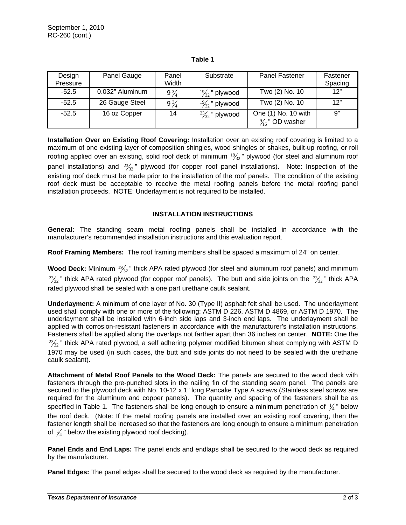| Design<br>Pressure | Panel Gauge     | Panel<br>Width | Substrate                 | Panel Fastener                                    | Fastener<br>Spacing |
|--------------------|-----------------|----------------|---------------------------|---------------------------------------------------|---------------------|
| $-52.5$            | 0.032" Aluminum | $9\frac{3}{4}$ | $\frac{19}{32}$ " plywood | Two (2) No. 10                                    | 12"                 |
| $-52.5$            | 26 Gauge Steel  | $9\frac{3}{4}$ | $\frac{19}{32}$ " plywood | Two (2) No. 10                                    | 12"                 |
| $-52.5$            | 16 oz Copper    | 14             | $\frac{23}{32}$ " plywood | One (1) No. 10 with<br>$\frac{9}{16}$ " OD washer | 9"                  |

### **Table 1**

**Installation Over an Existing Roof Covering:** Installation over an existing roof covering is limited to a maximum of one existing layer of composition shingles, wood shingles or shakes, built-up roofing, or roll roofing applied over an existing, solid roof deck of minimum  $\frac{19}{32}$ " plywood (for steel and aluminum roof panel installations) and  $\frac{23}{32}$ " plywood (for copper roof panel installations). Note: Inspection of the existing roof deck must be made prior to the installation of the roof panels. The condition of the existing roof deck must be acceptable to receive the metal roofing panels before the metal roofing panel installation proceeds. NOTE: Underlayment is not required to be installed.

## **INSTALLATION INSTRUCTIONS**

**General:** The standing seam metal roofing panels shall be installed in accordance with the manufacturer's recommended installation instructions and this evaluation report.

**Roof Framing Members:** The roof framing members shall be spaced a maximum of 24" on center.

**Wood Deck:** Minimum  $\frac{19}{32}$ " thick APA rated plywood (for steel and aluminum roof panels) and minimum  $^{23}/_{32}$ " thick APA rated plywood (for copper roof panels). The butt and side joints on the  $^{23}/_{32}$ " thick APA rated plywood shall be sealed with a one part urethane caulk sealant.

**Underlayment:** A minimum of one layer of No. 30 (Type II) asphalt felt shall be used. The underlayment used shall comply with one or more of the following: ASTM D 226, ASTM D 4869, or ASTM D 1970. The underlayment shall be installed with 6-inch side laps and 3-inch end laps. The underlayment shall be applied with corrosion-resistant fasteners in accordance with the manufacturer's installation instructions. Fasteners shall be applied along the overlaps not farther apart than 36 inches on center. **NOTE:** One the  $^{23}\!_{32}$ " thick APA rated plywood, a self adhering polymer modified bitumen sheet complying with ASTM D 1970 may be used (in such cases, the butt and side joints do not need to be sealed with the urethane caulk sealant).

**Attachment of Metal Roof Panels to the Wood Deck:** The panels are secured to the wood deck with fasteners through the pre-punched slots in the nailing fin of the standing seam panel. The panels are secured to the plywood deck with No. 10-12 x 1" long Pancake Type A screws (Stainless steel screws are required for the aluminum and copper panels). The quantity and spacing of the fasteners shall be as specified in Table 1. The fasteners shall be long enough to ensure a minimum penetration of  $\frac{1}{4}$ " below the roof deck. (Note: If the metal roofing panels are installed over an existing roof covering, then the fastener length shall be increased so that the fasteners are long enough to ensure a minimum penetration of  $\frac{1}{4}$ " below the existing plywood roof decking).

**Panel Ends and End Laps:** The panel ends and endlaps shall be secured to the wood deck as required by the manufacturer.

**Panel Edges:** The panel edges shall be secured to the wood deck as required by the manufacturer.